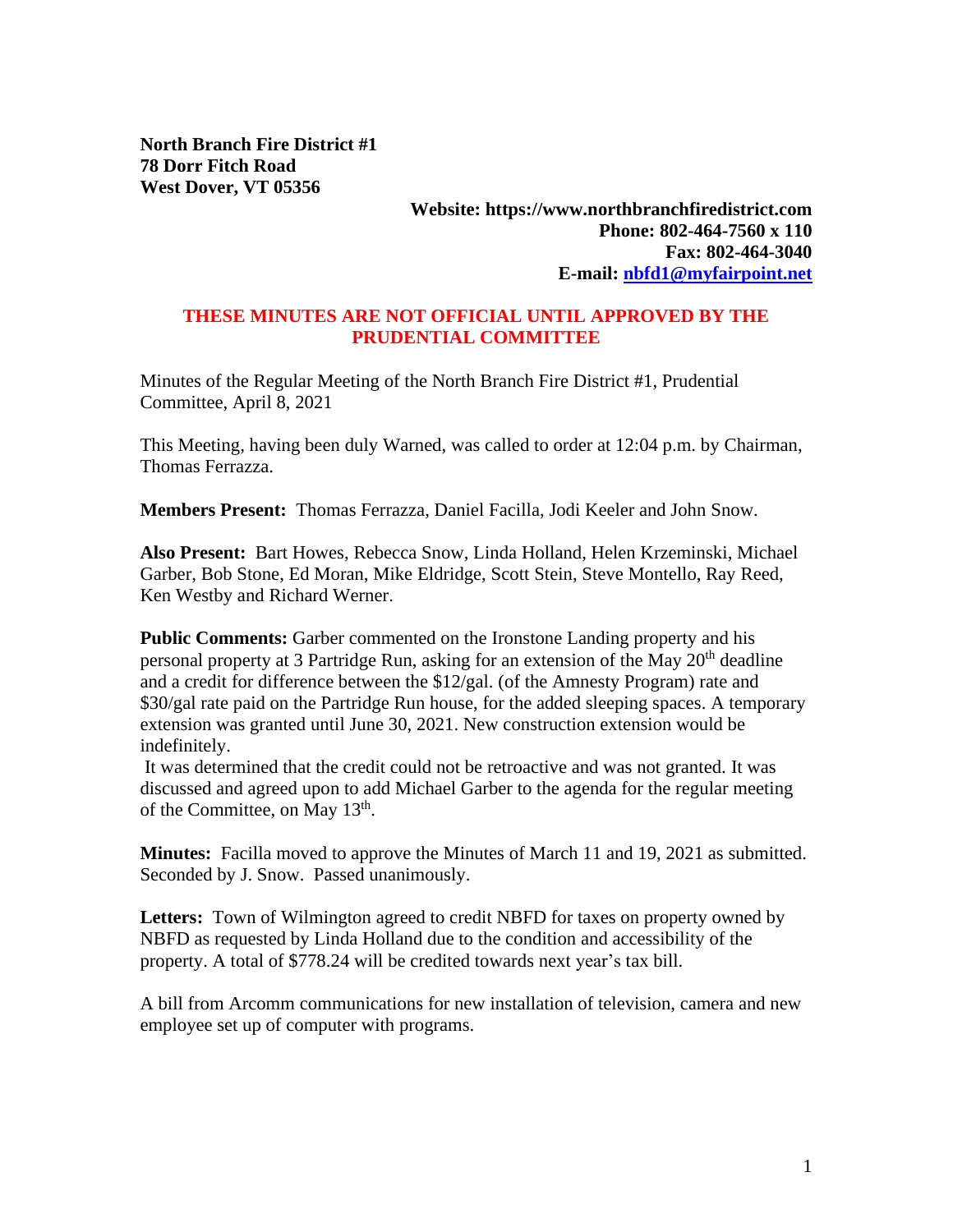**North Branch Fire District #1 78 Dorr Fitch Road West Dover, VT 05356**

## **Website: https://www.northbranchfiredistrict.com Phone: 802-464-7560 x 110 Fax: 802-464-3040 E-mail: [nbfd1@myfairpoint.net](mailto:nbfd1@myfairpoint.net)**

## **THESE MINUTES ARE NOT OFFICIAL UNTIL APPROVED BY THE PRUDENTIAL COMMITTEE**

Minutes of the Regular Meeting of the North Branch Fire District #1, Prudential Committee, April 8, 2021

This Meeting, having been duly Warned, was called to order at 12:04 p.m. by Chairman, Thomas Ferrazza.

**Members Present:** Thomas Ferrazza, Daniel Facilla, Jodi Keeler and John Snow.

**Also Present:** Bart Howes, Rebecca Snow, Linda Holland, Helen Krzeminski, Michael Garber, Bob Stone, Ed Moran, Mike Eldridge, Scott Stein, Steve Montello, Ray Reed, Ken Westby and Richard Werner.

**Public Comments:** Garber commented on the Ironstone Landing property and his personal property at 3 Partridge Run, asking for an extension of the May 20<sup>th</sup> deadline and a credit for difference between the \$12/gal. (of the Amnesty Program) rate and \$30/gal rate paid on the Partridge Run house, for the added sleeping spaces. A temporary extension was granted until June 30, 2021. New construction extension would be indefinitely.

It was determined that the credit could not be retroactive and was not granted. It was discussed and agreed upon to add Michael Garber to the agenda for the regular meeting of the Committee, on May 13<sup>th</sup>.

**Minutes:** Facilla moved to approve the Minutes of March 11 and 19, 2021 as submitted. Seconded by J. Snow. Passed unanimously.

**Letters:** Town of Wilmington agreed to credit NBFD for taxes on property owned by NBFD as requested by Linda Holland due to the condition and accessibility of the property. A total of \$778.24 will be credited towards next year's tax bill.

A bill from Arcomm communications for new installation of television, camera and new employee set up of computer with programs.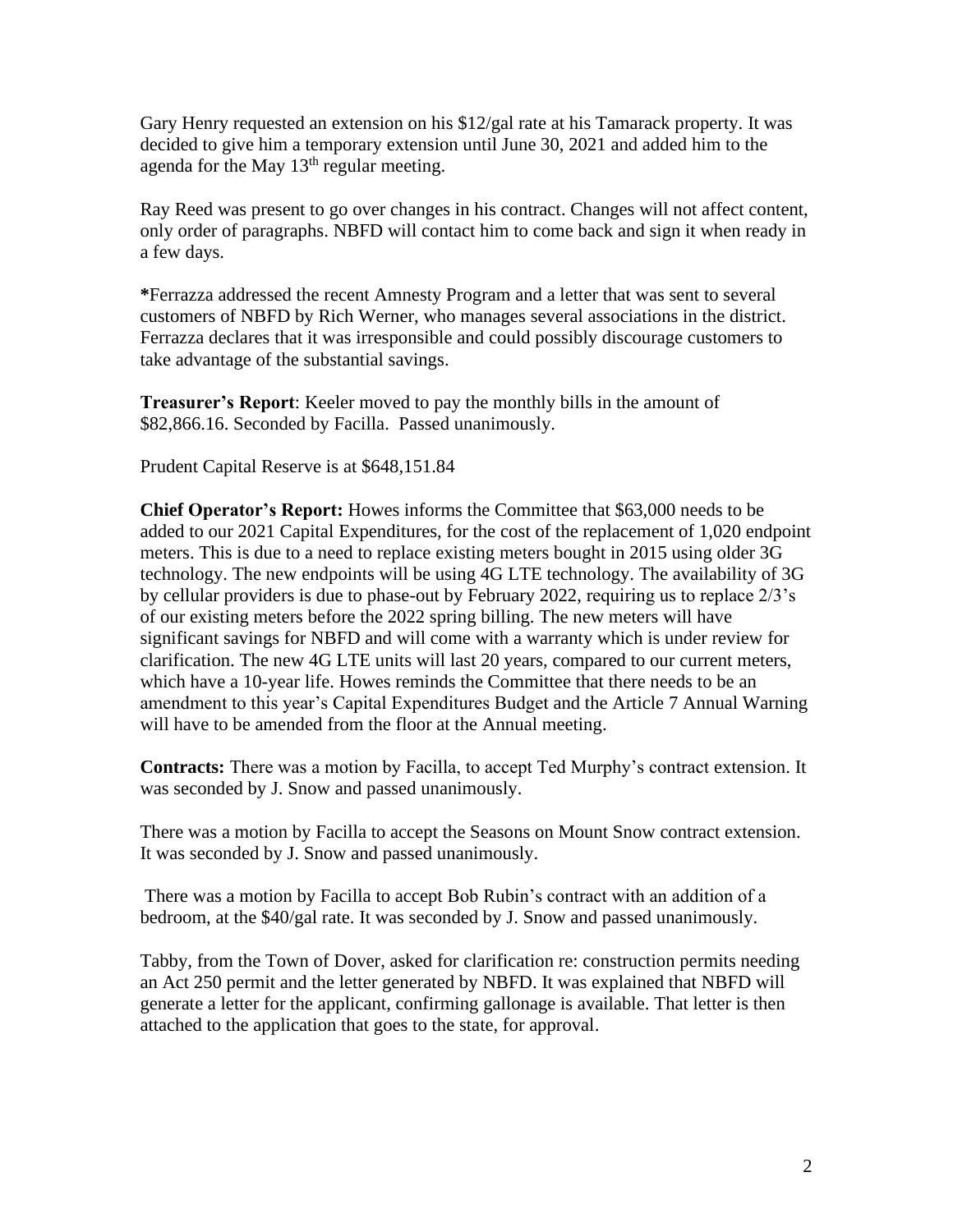Gary Henry requested an extension on his \$12/gal rate at his Tamarack property. It was decided to give him a temporary extension until June 30, 2021 and added him to the agenda for the May  $13<sup>th</sup>$  regular meeting.

Ray Reed was present to go over changes in his contract. Changes will not affect content, only order of paragraphs. NBFD will contact him to come back and sign it when ready in a few days.

**\***Ferrazza addressed the recent Amnesty Program and a letter that was sent to several customers of NBFD by Rich Werner, who manages several associations in the district. Ferrazza declares that it was irresponsible and could possibly discourage customers to take advantage of the substantial savings.

**Treasurer's Report**: Keeler moved to pay the monthly bills in the amount of \$82,866.16. Seconded by Facilla. Passed unanimously.

Prudent Capital Reserve is at \$648,151.84

**Chief Operator's Report:** Howes informs the Committee that \$63,000 needs to be added to our 2021 Capital Expenditures, for the cost of the replacement of 1,020 endpoint meters. This is due to a need to replace existing meters bought in 2015 using older 3G technology. The new endpoints will be using 4G LTE technology. The availability of 3G by cellular providers is due to phase-out by February 2022, requiring us to replace 2/3's of our existing meters before the 2022 spring billing. The new meters will have significant savings for NBFD and will come with a warranty which is under review for clarification. The new 4G LTE units will last 20 years, compared to our current meters, which have a 10-year life. Howes reminds the Committee that there needs to be an amendment to this year's Capital Expenditures Budget and the Article 7 Annual Warning will have to be amended from the floor at the Annual meeting.

**Contracts:** There was a motion by Facilla, to accept Ted Murphy's contract extension. It was seconded by J. Snow and passed unanimously.

There was a motion by Facilla to accept the Seasons on Mount Snow contract extension. It was seconded by J. Snow and passed unanimously.

There was a motion by Facilla to accept Bob Rubin's contract with an addition of a bedroom, at the \$40/gal rate. It was seconded by J. Snow and passed unanimously.

Tabby, from the Town of Dover, asked for clarification re: construction permits needing an Act 250 permit and the letter generated by NBFD. It was explained that NBFD will generate a letter for the applicant, confirming gallonage is available. That letter is then attached to the application that goes to the state, for approval.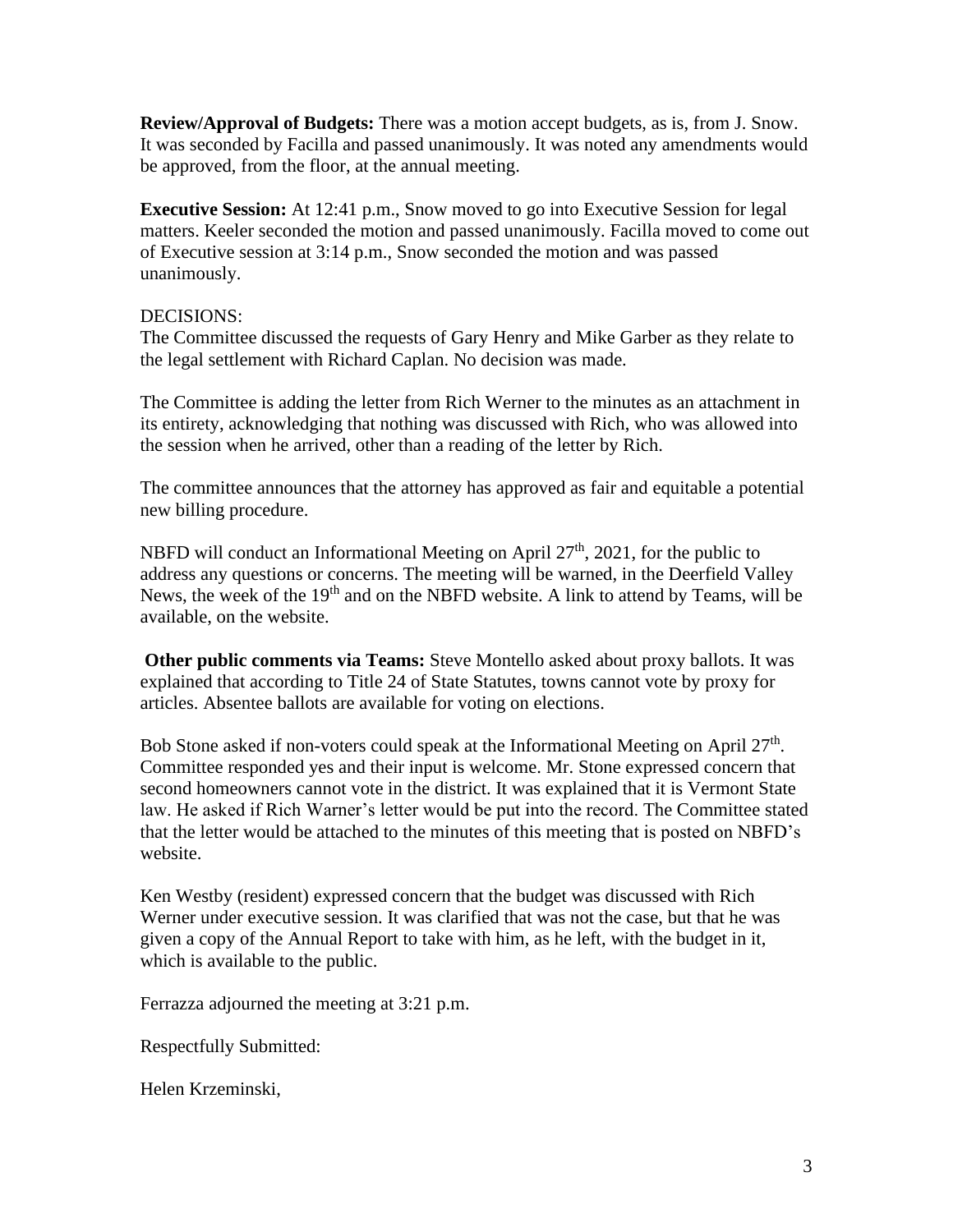**Review/Approval of Budgets:** There was a motion accept budgets, as is, from J. Snow. It was seconded by Facilla and passed unanimously. It was noted any amendments would be approved, from the floor, at the annual meeting.

**Executive Session:** At 12:41 p.m., Snow moved to go into Executive Session for legal matters. Keeler seconded the motion and passed unanimously. Facilla moved to come out of Executive session at 3:14 p.m., Snow seconded the motion and was passed unanimously.

## DECISIONS:

The Committee discussed the requests of Gary Henry and Mike Garber as they relate to the legal settlement with Richard Caplan. No decision was made.

The Committee is adding the letter from Rich Werner to the minutes as an attachment in its entirety, acknowledging that nothing was discussed with Rich, who was allowed into the session when he arrived, other than a reading of the letter by Rich.

The committee announces that the attorney has approved as fair and equitable a potential new billing procedure.

NBFD will conduct an Informational Meeting on April  $27<sup>th</sup>$ , 2021, for the public to address any questions or concerns. The meeting will be warned, in the Deerfield Valley News, the week of the  $19<sup>th</sup>$  and on the NBFD website. A link to attend by Teams, will be available, on the website.

**Other public comments via Teams:** Steve Montello asked about proxy ballots. It was explained that according to Title 24 of State Statutes, towns cannot vote by proxy for articles. Absentee ballots are available for voting on elections.

Bob Stone asked if non-voters could speak at the Informational Meeting on April  $27<sup>th</sup>$ . Committee responded yes and their input is welcome. Mr. Stone expressed concern that second homeowners cannot vote in the district. It was explained that it is Vermont State law. He asked if Rich Warner's letter would be put into the record. The Committee stated that the letter would be attached to the minutes of this meeting that is posted on NBFD's website.

Ken Westby (resident) expressed concern that the budget was discussed with Rich Werner under executive session. It was clarified that was not the case, but that he was given a copy of the Annual Report to take with him, as he left, with the budget in it, which is available to the public.

Ferrazza adjourned the meeting at 3:21 p.m.

Respectfully Submitted:

Helen Krzeminski,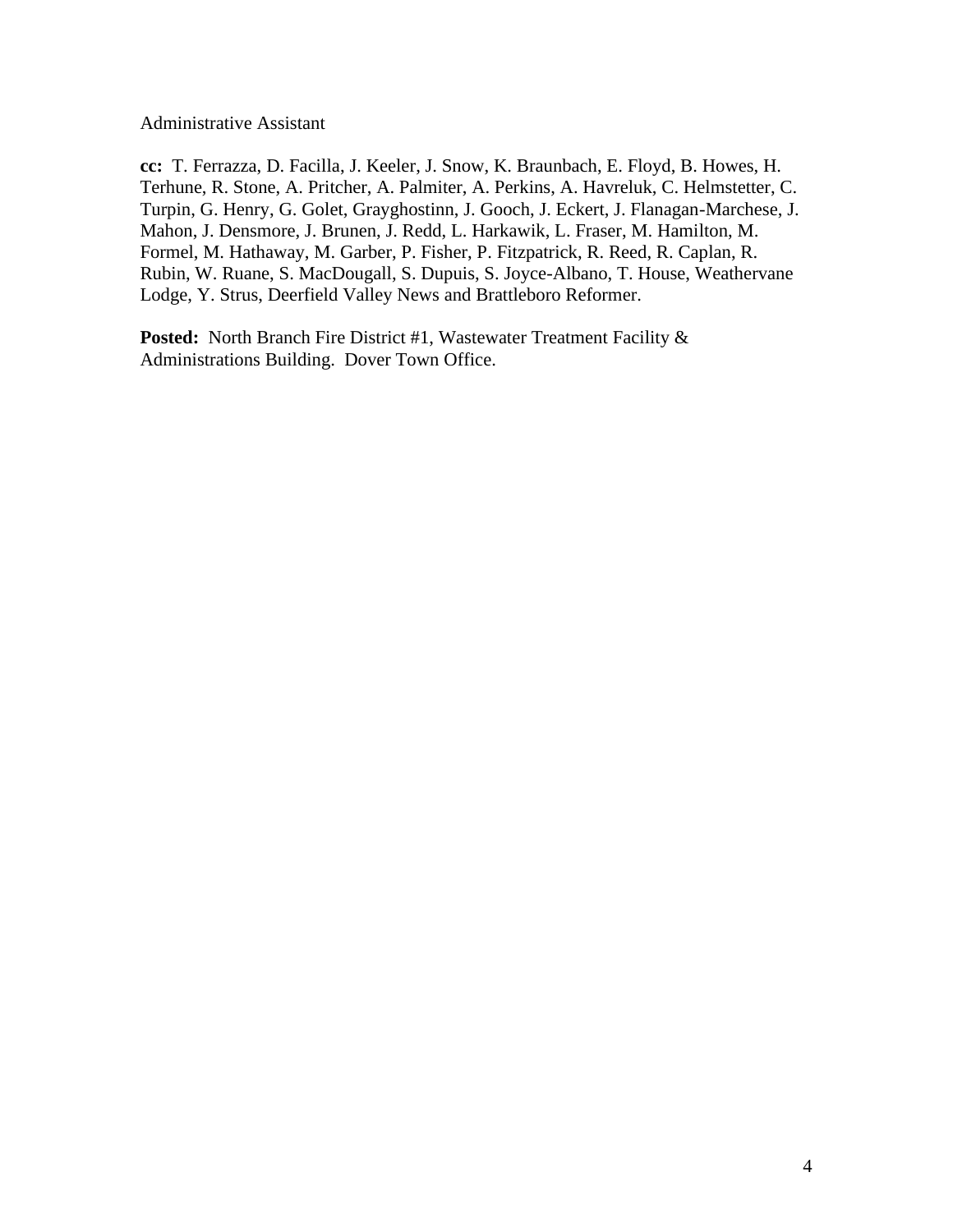Administrative Assistant

**cc:** T. Ferrazza, D. Facilla, J. Keeler, J. Snow, K. Braunbach, E. Floyd, B. Howes, H. Terhune, R. Stone, A. Pritcher, A. Palmiter, A. Perkins, A. Havreluk, C. Helmstetter, C. Turpin, G. Henry, G. Golet, Grayghostinn, J. Gooch, J. Eckert, J. Flanagan-Marchese, J. Mahon, J. Densmore, J. Brunen, J. Redd, L. Harkawik, L. Fraser, M. Hamilton, M. Formel, M. Hathaway, M. Garber, P. Fisher, P. Fitzpatrick, R. Reed, R. Caplan, R. Rubin, W. Ruane, S. MacDougall, S. Dupuis, S. Joyce-Albano, T. House, Weathervane Lodge, Y. Strus, Deerfield Valley News and Brattleboro Reformer.

Posted: North Branch Fire District #1, Wastewater Treatment Facility & Administrations Building. Dover Town Office.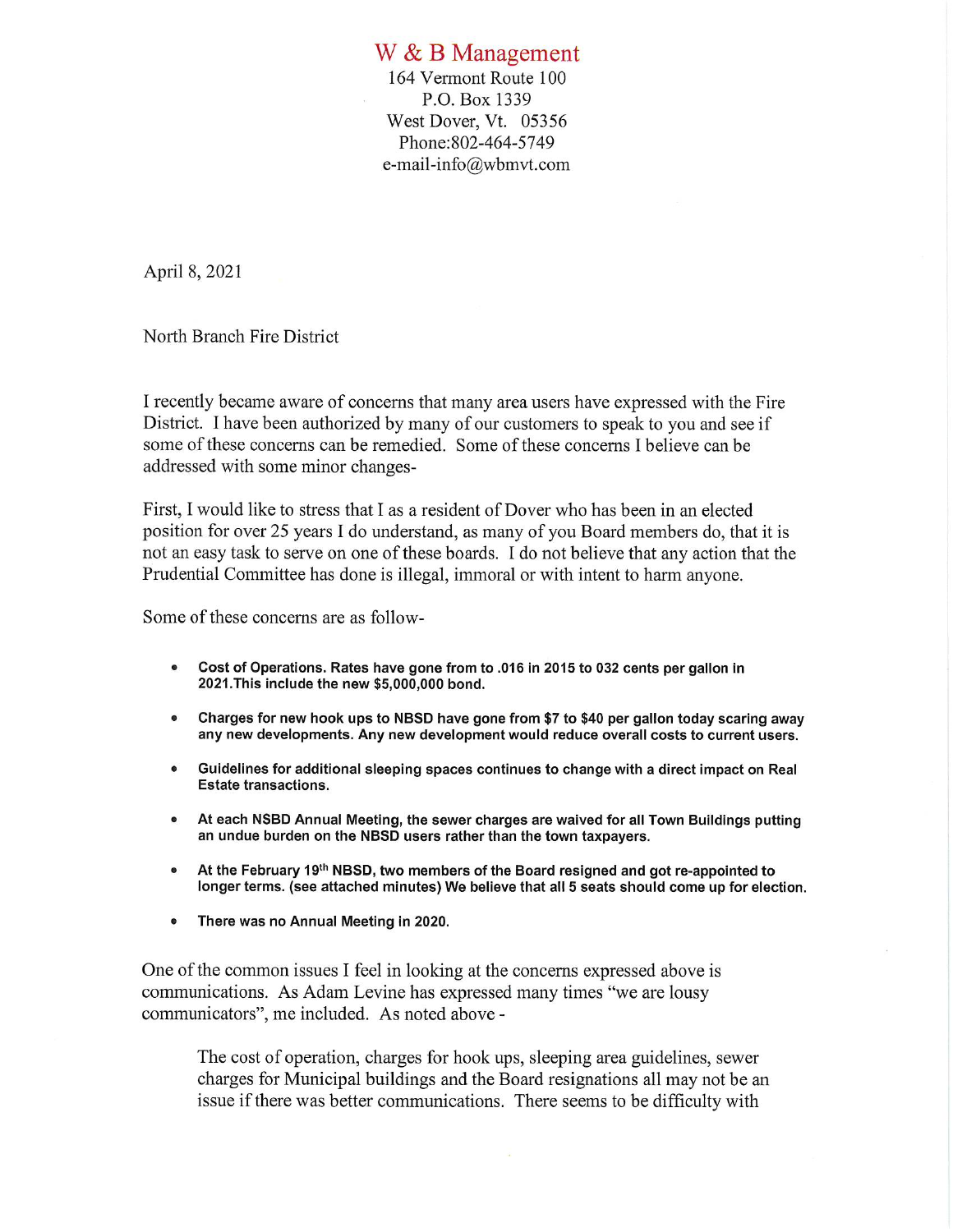## W & B Management

164 Vermont Route 100 P.O. Box 1339 West Dover, Vt. 05356 Phone: 802-464-5749 e-mail-info@wbmvt.com

April 8, 2021

North Branch Fire District

I recently became aware of concerns that many area users have expressed with the Fire District. I have been authorized by many of our customers to speak to you and see if some of these concerns can be remedied. Some of these concerns I believe can be addressed with some minor changes-

First, I would like to stress that I as a resident of Dover who has been in an elected position for over 25 years I do understand, as many of you Board members do, that it is not an easy task to serve on one of these boards. I do not believe that any action that the Prudential Committee has done is illegal, immoral or with intent to harm anyone.

Some of these concerns are as follow-

- Cost of Operations. Rates have gone from to .016 in 2015 to 032 cents per gallon in  $\bullet$ 2021. This include the new \$5,000,000 bond.
- Charges for new hook ups to NBSD have gone from \$7 to \$40 per gallon today scaring away  $\bullet$ any new developments. Any new development would reduce overall costs to current users.
- Guidelines for additional sleeping spaces continues to change with a direct impact on Real **Estate transactions.**
- At each NSBD Annual Meeting, the sewer charges are waived for all Town Buildings putting an undue burden on the NBSD users rather than the town taxpayers.
- At the February 19<sup>th</sup> NBSD, two members of the Board resigned and got re-appointed to longer terms. (see attached minutes) We believe that all 5 seats should come up for election.
- There was no Annual Meeting in 2020.

One of the common issues I feel in looking at the concerns expressed above is communications. As Adam Levine has expressed many times "we are lousy communicators", me included. As noted above -

The cost of operation, charges for hook ups, sleeping area guidelines, sewer charges for Municipal buildings and the Board resignations all may not be an issue if there was better communications. There seems to be difficulty with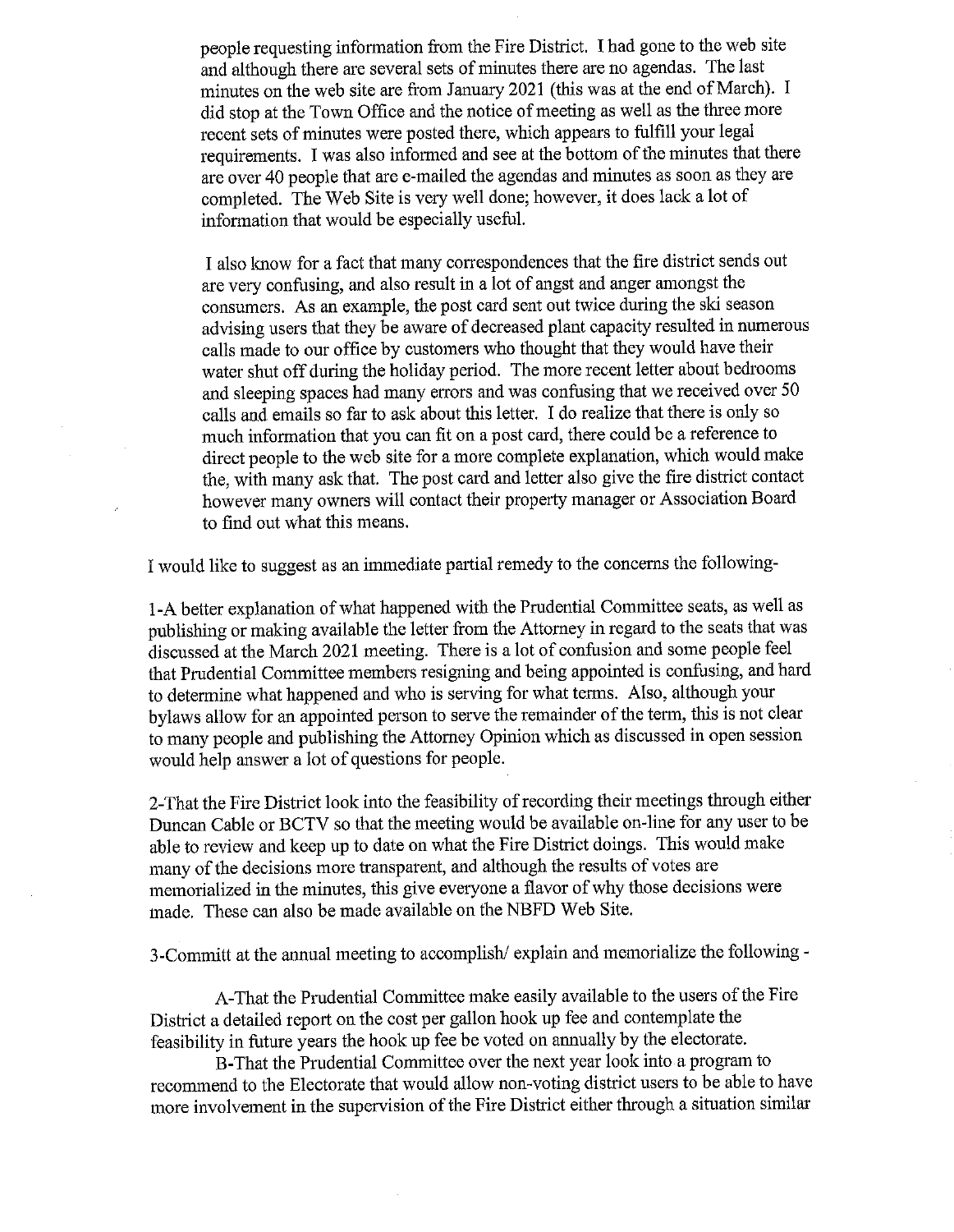people requesting information from the Fire District. I had gone to the web site and although there are several sets of minutes there are no agendas. The last minutes on the web site are from January 2021 (this was at the end of March). I did stop at the Town Office and the notice of meeting as well as the three more recent sets of minutes were posted there, which appears to fulfill your legal requirements. I was also informed and see at the bottom of the minutes that there are over 40 people that are e-mailed the agendas and minutes as soon as they are completed. The Web Site is very well done; however, it does lack a lot of information that would be especially useful.

I also know for a fact that many correspondences that the fire district sends out are very confusing, and also result in a lot of angst and anger amongst the consumers. As an example, the post card sent out twice during the ski season advising users that they be aware of decreased plant capacity resulted in numerous calls made to our office by customers who thought that they would have their water shut off during the holiday period. The more recent letter about bedrooms and sleeping spaces had many errors and was confusing that we received over 50 calls and emails so far to ask about this letter. I do realize that there is only so much information that you can fit on a post card, there could be a reference to direct people to the web site for a more complete explanation, which would make the, with many ask that. The post card and letter also give the fire district contact however many owners will contact their property manager or Association Board to find out what this means.

I would like to suggest as an immediate partial remedy to the concerns the following-

1-A better explanation of what happened with the Prudential Committee seats, as well as publishing or making available the letter from the Attorney in regard to the seats that was discussed at the March 2021 meeting. There is a lot of confusion and some people feel that Prudential Committee members resigning and being appointed is confusing, and hard to determine what happened and who is serving for what terms. Also, although your bylaws allow for an appointed person to serve the remainder of the term, this is not clear to many people and publishing the Attorney Opinion which as discussed in open session would help answer a lot of questions for people.

2-That the Fire District look into the feasibility of recording their meetings through either Duncan Cable or BCTV so that the meeting would be available on-line for any user to be able to review and keep up to date on what the Fire District doings. This would make many of the decisions more transparent, and although the results of votes are memorialized in the minutes, this give everyone a flavor of why those decisions were made. These can also be made available on the NBFD Web Site.

3-Committ at the annual meeting to accomplish/explain and memorialize the following -

A-That the Prudential Committee make easily available to the users of the Fire District a detailed report on the cost per gallon hook up fee and contemplate the feasibility in future years the hook up fee be voted on annually by the electorate.

B-That the Prudential Committee over the next year look into a program to recommend to the Electorate that would allow non-voting district users to be able to have more involvement in the supervision of the Fire District either through a situation similar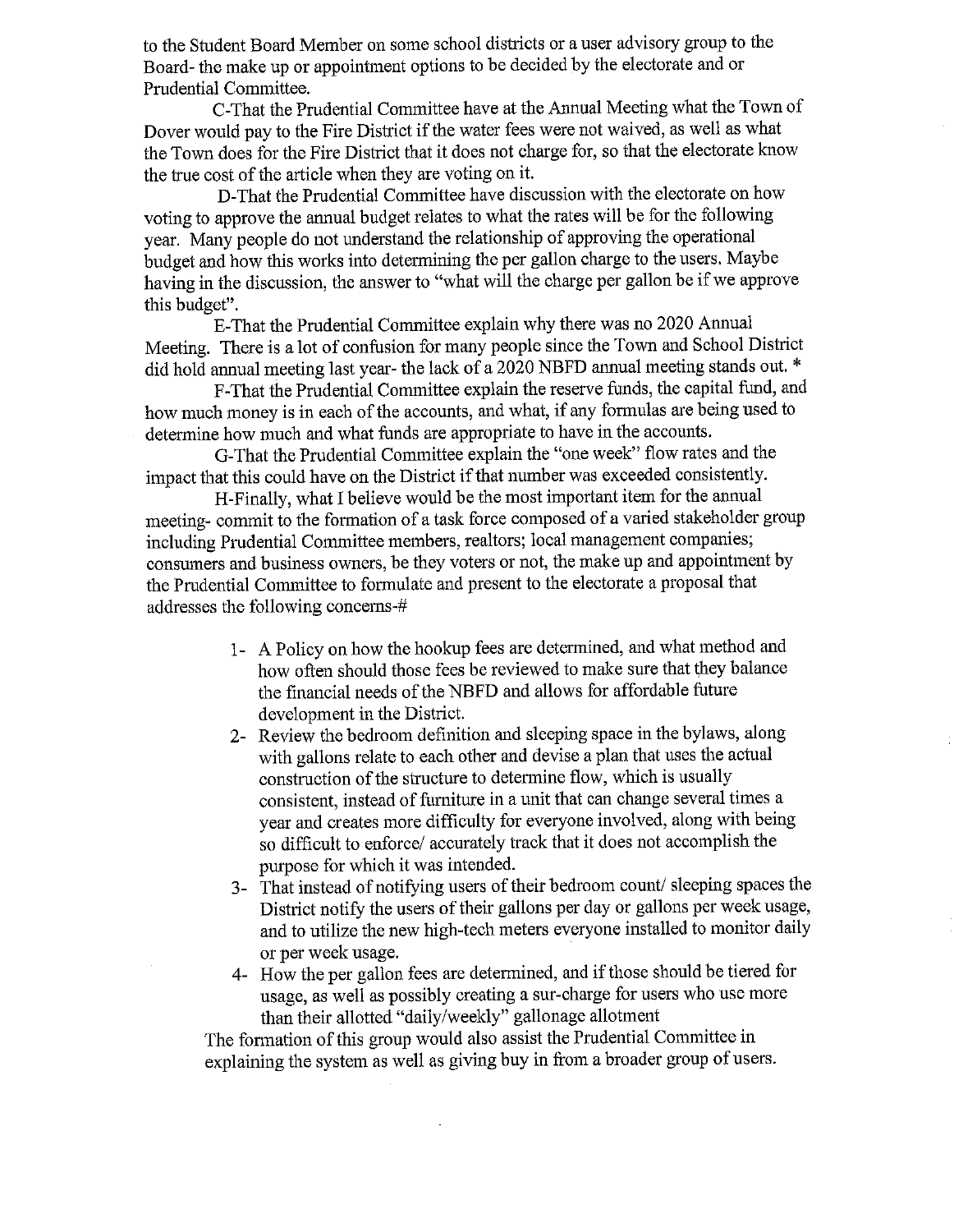to the Student Board Member on some school districts or a user advisory group to the Board- the make up or appointment options to be decided by the electorate and or Prudential Committee.

C-That the Prudential Committee have at the Annual Meeting what the Town of Dover would pay to the Fire District if the water fees were not waived, as well as what the Town does for the Fire District that it does not charge for, so that the electorate know the true cost of the article when they are voting on it.

D-That the Prudential Committee have discussion with the electorate on how voting to approve the annual budget relates to what the rates will be for the following year. Many people do not understand the relationship of approving the operational budget and how this works into determining the per gallon charge to the users. Maybe having in the discussion, the answer to "what will the charge per gallon be if we approve this budget".

E-That the Prudential Committee explain why there was no 2020 Annual Meeting. There is a lot of confusion for many people since the Town and School District did hold annual meeting last year- the lack of a 2020 NBFD annual meeting stands out. \*

F-That the Prudential Committee explain the reserve funds, the capital fund, and how much money is in each of the accounts, and what, if any formulas are being used to determine how much and what funds are appropriate to have in the accounts.

G-That the Prudential Committee explain the "one week" flow rates and the impact that this could have on the District if that number was exceeded consistently.

H-Finally, what I believe would be the most important item for the annual meeting- commit to the formation of a task force composed of a varied stakeholder group including Prudential Committee members, realtors; local management companies; consumers and business owners, be they voters or not, the make up and appointment by the Prudential Committee to formulate and present to the electorate a proposal that addresses the following concerns-#

- 1- A Policy on how the hookup fees are determined, and what method and how often should those fees be reviewed to make sure that they balance the financial needs of the NBFD and allows for affordable future development in the District.
- 2- Review the bedroom definition and sleeping space in the bylaws, along with gallons relate to each other and devise a plan that uses the actual construction of the structure to determine flow, which is usually consistent, instead of furniture in a unit that can change several times a year and creates more difficulty for everyone involved, along with being so difficult to enforce/ accurately track that it does not accomplish the purpose for which it was intended.
- 3- That instead of notifying users of their bedroom count/sleeping spaces the District notify the users of their gallons per day or gallons per week usage, and to utilize the new high-tech meters everyone installed to monitor daily or per week usage.
- 4- How the per gallon fees are determined, and if those should be tiered for usage, as well as possibly creating a sur-charge for users who use more than their allotted "daily/weekly" gallonage allotment

The formation of this group would also assist the Prudential Committee in explaining the system as well as giving buy in from a broader group of users.